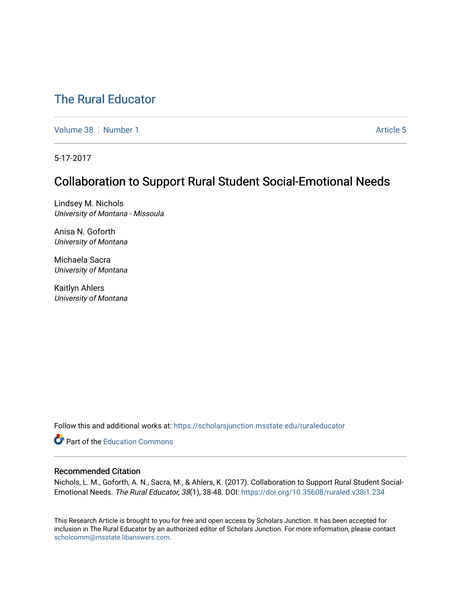# [The Rural Educator](https://scholarsjunction.msstate.edu/ruraleducator)

[Volume 38](https://scholarsjunction.msstate.edu/ruraleducator/vol38) [Number 1](https://scholarsjunction.msstate.edu/ruraleducator/vol38/iss1) [Article 5](https://scholarsjunction.msstate.edu/ruraleducator/vol38/iss1/5) Article 5

5-17-2017

# Collaboration to Support Rural Student Social-Emotional Needs

Lindsey M. Nichols University of Montana - Missoula

Anisa N. Goforth University of Montana

Michaela Sacra University of Montana

Kaitlyn Ahlers University of Montana

Follow this and additional works at: [https://scholarsjunction.msstate.edu/ruraleducator](https://scholarsjunction.msstate.edu/ruraleducator?utm_source=scholarsjunction.msstate.edu%2Fruraleducator%2Fvol38%2Fiss1%2F5&utm_medium=PDF&utm_campaign=PDFCoverPages)

**Part of the [Education Commons](http://network.bepress.com/hgg/discipline/784?utm_source=scholarsjunction.msstate.edu%2Fruraleducator%2Fvol38%2Fiss1%2F5&utm_medium=PDF&utm_campaign=PDFCoverPages)** 

## Recommended Citation

Nichols, L. M., Goforth, A. N., Sacra, M., & Ahlers, K. (2017). Collaboration to Support Rural Student Social-Emotional Needs. The Rural Educator, 38(1), 38-48. DOI: <https://doi.org/10.35608/ruraled.v38i1.234>

This Research Article is brought to you for free and open access by Scholars Junction. It has been accepted for inclusion in The Rural Educator by an authorized editor of Scholars Junction. For more information, please contact [scholcomm@msstate.libanswers.com.](mailto:scholcomm@msstate.libanswers.com)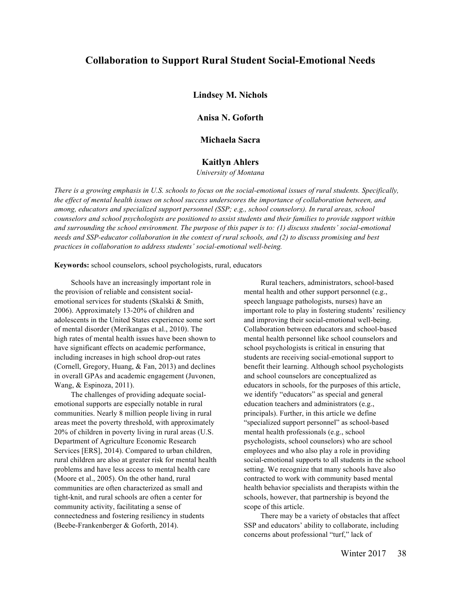# **Collaboration to Support Rural Student Social-Emotional Needs**

**Lindsey M. Nichols**

**Anisa N. Goforth**

**Michaela Sacra**

## **Kaitlyn Ahlers**

*University of Montana*

*There is a growing emphasis in U.S. schools to focus on the social-emotional issues of rural students. Specifically, the effect of mental health issues on school success underscores the importance of collaboration between, and among, educators and specialized support personnel (SSP; e.g., school counselors). In rural areas, school counselors and school psychologists are positioned to assist students and their families to provide support within and surrounding the school environment. The purpose of this paper is to: (1) discuss students' social-emotional needs and SSP-educator collaboration in the context of rural schools, and (2) to discuss promising and best practices in collaboration to address students' social-emotional well-being.*

**Keywords:** school counselors, school psychologists, rural, educators

Schools have an increasingly important role in the provision of reliable and consistent socialemotional services for students (Skalski & Smith, 2006). Approximately 13-20% of children and adolescents in the United States experience some sort of mental disorder (Merikangas et al., 2010). The high rates of mental health issues have been shown to have significant effects on academic performance, including increases in high school drop-out rates (Cornell, Gregory, Huang, & Fan, 2013) and declines in overall GPAs and academic engagement (Juvonen, Wang, & Espinoza, 2011).

The challenges of providing adequate socialemotional supports are especially notable in rural communities. Nearly 8 million people living in rural areas meet the poverty threshold, with approximately 20% of children in poverty living in rural areas (U.S. Department of Agriculture Economic Research Services [ERS], 2014). Compared to urban children, rural children are also at greater risk for mental health problems and have less access to mental health care (Moore et al., 2005). On the other hand, rural communities are often characterized as small and tight-knit, and rural schools are often a center for community activity, facilitating a sense of connectedness and fostering resiliency in students (Beebe-Frankenberger & Goforth, 2014).

Rural teachers, administrators, school-based mental health and other support personnel (e.g., speech language pathologists, nurses) have an important role to play in fostering students' resiliency and improving their social-emotional well-being. Collaboration between educators and school-based mental health personnel like school counselors and school psychologists is critical in ensuring that students are receiving social-emotional support to benefit their learning. Although school psychologists and school counselors are conceptualized as educators in schools, for the purposes of this article, we identify "educators" as special and general education teachers and administrators (e.g., principals). Further, in this article we define "specialized support personnel" as school-based mental health professionals (e.g., school psychologists, school counselors) who are school employees and who also play a role in providing social-emotional supports to all students in the school setting. We recognize that many schools have also contracted to work with community based mental health behavior specialists and therapists within the schools, however, that partnership is beyond the scope of this article.

There may be a variety of obstacles that affect SSP and educators' ability to collaborate, including concerns about professional "turf," lack of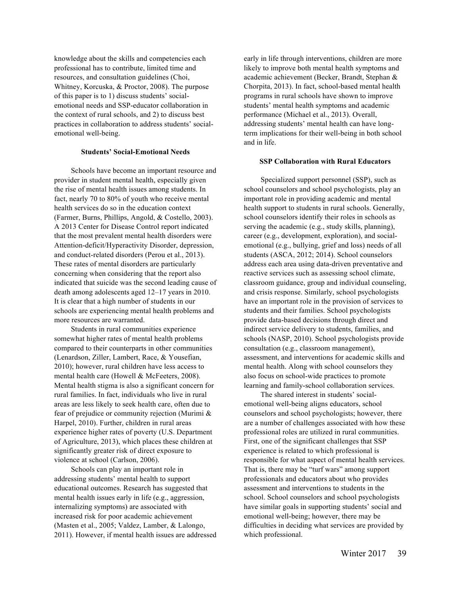knowledge about the skills and competencies each professional has to contribute, limited time and resources, and consultation guidelines (Choi, Whitney, Korcuska, & Proctor, 2008). The purpose of this paper is to 1) discuss students' socialemotional needs and SSP-educator collaboration in the context of rural schools, and 2) to discuss best practices in collaboration to address students' socialemotional well-being.

#### **Students' Social-Emotional Needs**

Schools have become an important resource and provider in student mental health, especially given the rise of mental health issues among students. In fact, nearly 70 to 80% of youth who receive mental health services do so in the education context (Farmer, Burns, Phillips, Angold, & Costello, 2003). A 2013 Center for Disease Control report indicated that the most prevalent mental health disorders were Attention-deficit/Hyperactivity Disorder, depression, and conduct-related disorders (Perou et al., 2013). These rates of mental disorders are particularly concerning when considering that the report also indicated that suicide was the second leading cause of death among adolescents aged 12–17 years in 2010. It is clear that a high number of students in our schools are experiencing mental health problems and more resources are warranted.

Students in rural communities experience somewhat higher rates of mental health problems compared to their counterparts in other communities (Lenardson, Ziller, Lambert, Race, & Yousefian, 2010); however, rural children have less access to mental health care (Howell & McFeeters, 2008). Mental health stigma is also a significant concern for rural families. In fact, individuals who live in rural areas are less likely to seek health care, often due to fear of prejudice or community rejection (Murimi & Harpel, 2010). Further, children in rural areas experience higher rates of poverty (U.S. Department of Agriculture, 2013), which places these children at significantly greater risk of direct exposure to violence at school (Carlson, 2006).

Schools can play an important role in addressing students' mental health to support educational outcomes. Research has suggested that mental health issues early in life (e.g., aggression, internalizing symptoms) are associated with increased risk for poor academic achievement (Masten et al., 2005; Valdez, Lamber, & Lalongo, 2011). However, if mental health issues are addressed early in life through interventions, children are more likely to improve both mental health symptoms and academic achievement (Becker, Brandt, Stephan & Chorpita, 2013). In fact, school-based mental health programs in rural schools have shown to improve students' mental health symptoms and academic performance (Michael et al., 2013). Overall, addressing students' mental health can have longterm implications for their well-being in both school and in life.

### **SSP Collaboration with Rural Educators**

Specialized support personnel (SSP), such as school counselors and school psychologists, play an important role in providing academic and mental health support to students in rural schools. Generally, school counselors identify their roles in schools as serving the academic (e.g., study skills, planning), career (e.g., development, exploration), and socialemotional (e.g., bullying, grief and loss) needs of all students (ASCA, 2012; 2014). School counselors address each area using data-driven preventative and reactive services such as assessing school climate, classroom guidance, group and individual counseling, and crisis response. Similarly, school psychologists have an important role in the provision of services to students and their families. School psychologists provide data-based decisions through direct and indirect service delivery to students, families, and schools (NASP, 2010). School psychologists provide consultation (e.g., classroom management), assessment, and interventions for academic skills and mental health. Along with school counselors they also focus on school-wide practices to promote learning and family-school collaboration services.

The shared interest in students' socialemotional well-being aligns educators, school counselors and school psychologists; however, there are a number of challenges associated with how these professional roles are utilized in rural communities. First, one of the significant challenges that SSP experience is related to which professional is responsible for what aspect of mental health services. That is, there may be "turf wars" among support professionals and educators about who provides assessment and interventions to students in the school. School counselors and school psychologists have similar goals in supporting students' social and emotional well-being; however, there may be difficulties in deciding what services are provided by which professional.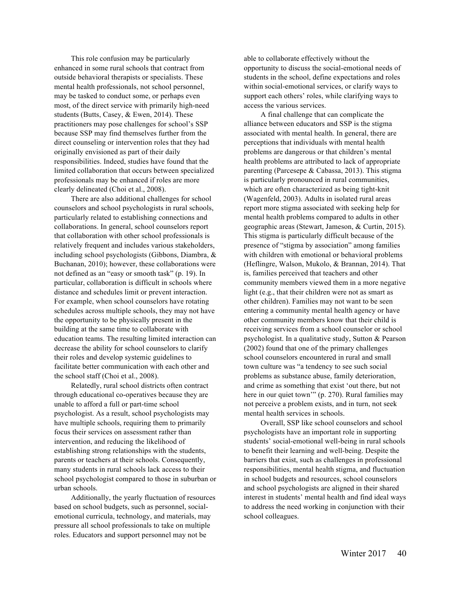This role confusion may be particularly enhanced in some rural schools that contract from outside behavioral therapists or specialists. These mental health professionals, not school personnel, may be tasked to conduct some, or perhaps even most, of the direct service with primarily high-need students (Butts, Casey, & Ewen, 2014). These practitioners may pose challenges for school's SSP because SSP may find themselves further from the direct counseling or intervention roles that they had originally envisioned as part of their daily responsibilities. Indeed, studies have found that the limited collaboration that occurs between specialized professionals may be enhanced if roles are more clearly delineated (Choi et al., 2008).

There are also additional challenges for school counselors and school psychologists in rural schools, particularly related to establishing connections and collaborations. In general, school counselors report that collaboration with other school professionals is relatively frequent and includes various stakeholders, including school psychologists (Gibbons, Diambra, & Buchanan, 2010); however, these collaborations were not defined as an "easy or smooth task" (p. 19). In particular, collaboration is difficult in schools where distance and schedules limit or prevent interaction. For example, when school counselors have rotating schedules across multiple schools, they may not have the opportunity to be physically present in the building at the same time to collaborate with education teams. The resulting limited interaction can decrease the ability for school counselors to clarify their roles and develop systemic guidelines to facilitate better communication with each other and the school staff (Choi et al., 2008).

Relatedly, rural school districts often contract through educational co-operatives because they are unable to afford a full or part-time school psychologist. As a result, school psychologists may have multiple schools, requiring them to primarily focus their services on assessment rather than intervention, and reducing the likelihood of establishing strong relationships with the students, parents or teachers at their schools. Consequently, many students in rural schools lack access to their school psychologist compared to those in suburban or urban schools.

Additionally, the yearly fluctuation of resources based on school budgets, such as personnel, socialemotional curricula, technology, and materials, may pressure all school professionals to take on multiple roles. Educators and support personnel may not be

able to collaborate effectively without the opportunity to discuss the social-emotional needs of students in the school, define expectations and roles within social-emotional services, or clarify ways to support each others' roles, while clarifying ways to access the various services.

A final challenge that can complicate the alliance between educators and SSP is the stigma associated with mental health. In general, there are perceptions that individuals with mental health problems are dangerous or that children's mental health problems are attributed to lack of appropriate parenting (Parcesepe & Cabassa, 2013). This stigma is particularly pronounced in rural communities, which are often characterized as being tight-knit (Wagenfeld, 2003). Adults in isolated rural areas report more stigma associated with seeking help for mental health problems compared to adults in other geographic areas (Stewart, Jameson, & Curtin, 2015). This stigma is particularly difficult because of the presence of "stigma by association" among families with children with emotional or behavioral problems (Heflingre, Walson, Mukolo, & Brannan, 2014). That is, families perceived that teachers and other community members viewed them in a more negative light (e.g., that their children were not as smart as other children). Families may not want to be seen entering a community mental health agency or have other community members know that their child is receiving services from a school counselor or school psychologist. In a qualitative study, Sutton & Pearson (2002) found that one of the primary challenges school counselors encountered in rural and small town culture was "a tendency to see such social problems as substance abuse, family deterioration, and crime as something that exist 'out there, but not here in our quiet town" (p. 270). Rural families may not perceive a problem exists, and in turn, not seek mental health services in schools.

Overall, SSP like school counselors and school psychologists have an important role in supporting students' social-emotional well-being in rural schools to benefit their learning and well-being. Despite the barriers that exist, such as challenges in professional responsibilities, mental health stigma, and fluctuation in school budgets and resources, school counselors and school psychologists are aligned in their shared interest in students' mental health and find ideal ways to address the need working in conjunction with their school colleagues.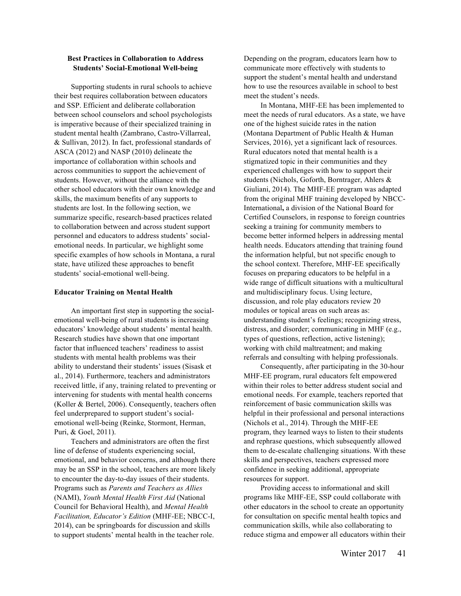## **Best Practices in Collaboration to Address Students' Social-Emotional Well-being**

Supporting students in rural schools to achieve their best requires collaboration between educators and SSP. Efficient and deliberate collaboration between school counselors and school psychologists is imperative because of their specialized training in student mental health (Zambrano, Castro-Villarreal, & Sullivan, 2012). In fact, professional standards of ASCA (2012) and NASP (2010) delineate the importance of collaboration within schools and across communities to support the achievement of students. However, without the alliance with the other school educators with their own knowledge and skills, the maximum benefits of any supports to students are lost. In the following section, we summarize specific, research-based practices related to collaboration between and across student support personnel and educators to address students' socialemotional needs. In particular, we highlight some specific examples of how schools in Montana, a rural state, have utilized these approaches to benefit students' social-emotional well-being.

### **Educator Training on Mental Health**

An important first step in supporting the socialemotional well-being of rural students is increasing educators' knowledge about students' mental health. Research studies have shown that one important factor that influenced teachers' readiness to assist students with mental health problems was their ability to understand their students' issues (Sisask et al., 2014). Furthermore, teachers and administrators received little, if any, training related to preventing or intervening for students with mental health concerns (Koller & Bertel, 2006). Consequently, teachers often feel underprepared to support student's socialemotional well-being (Reinke, Stormont, Herman, Puri, & Goel, 2011).

Teachers and administrators are often the first line of defense of students experiencing social, emotional, and behavior concerns, and although there may be an SSP in the school, teachers are more likely to encounter the day-to-day issues of their students. Programs such as *Parents and Teachers as Allies* (NAMI), *Youth Mental Health First Aid* (National Council for Behavioral Health), and *Mental Health Facilitation, Educator's Edition* (MHF-EE; NBCC-I, 2014), can be springboards for discussion and skills to support students' mental health in the teacher role.

Depending on the program, educators learn how to communicate more effectively with students to support the student's mental health and understand how to use the resources available in school to best meet the student's needs.

In Montana, MHF-EE has been implemented to meet the needs of rural educators. As a state, we have one of the highest suicide rates in the nation (Montana Department of Public Health & Human Services, 2016), yet a significant lack of resources. Rural educators noted that mental health is a stigmatized topic in their communities and they experienced challenges with how to support their students (Nichols, Goforth, Borntrager, Ahlers & Giuliani, 2014). The MHF-EE program was adapted from the original MHF training developed by NBCC-International**,** a division of the National Board for Certified Counselors, in response to foreign countries seeking a training for community members to become better informed helpers in addressing mental health needs. Educators attending that training found the information helpful, but not specific enough to the school context. Therefore, MHF-EE specifically focuses on preparing educators to be helpful in a wide range of difficult situations with a multicultural and multidisciplinary focus. Using lecture, discussion, and role play educators review 20 modules or topical areas on such areas as: understanding student's feelings; recognizing stress, distress, and disorder; communicating in MHF (e.g., types of questions, reflection, active listening); working with child maltreatment; and making referrals and consulting with helping professionals.

Consequently, after participating in the 30-hour MHF-EE program, rural educators felt empowered within their roles to better address student social and emotional needs. For example, teachers reported that reinforcement of basic communication skills was helpful in their professional and personal interactions (Nichols et al., 2014). Through the MHF-EE program, they learned ways to listen to their students and rephrase questions, which subsequently allowed them to de-escalate challenging situations. With these skills and perspectives, teachers expressed more confidence in seeking additional, appropriate resources for support.

Providing access to informational and skill programs like MHF-EE, SSP could collaborate with other educators in the school to create an opportunity for consultation on specific mental health topics and communication skills, while also collaborating to reduce stigma and empower all educators within their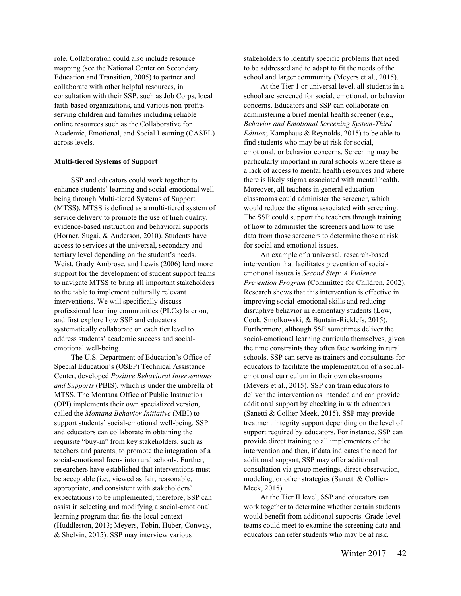role. Collaboration could also include resource mapping (see the National Center on Secondary Education and Transition, 2005) to partner and collaborate with other helpful resources, in consultation with their SSP, such as Job Corps, local faith-based organizations, and various non-profits serving children and families including reliable online resources such as the Collaborative for Academic, Emotional, and Social Learning (CASEL) across levels.

### **Multi-tiered Systems of Support**

SSP and educators could work together to enhance students' learning and social-emotional wellbeing through Multi-tiered Systems of Support (MTSS). MTSS is defined as a multi-tiered system of service delivery to promote the use of high quality, evidence-based instruction and behavioral supports (Horner, Sugai, & Anderson, 2010). Students have access to services at the universal, secondary and tertiary level depending on the student's needs. Weist, Grady Ambrose, and Lewis (2006) lend more support for the development of student support teams to navigate MTSS to bring all important stakeholders to the table to implement culturally relevant interventions. We will specifically discuss professional learning communities (PLCs) later on, and first explore how SSP and educators systematically collaborate on each tier level to address students' academic success and socialemotional well-being.

The U.S. Department of Education's Office of Special Education's (OSEP) Technical Assistance Center, developed *Positive Behavioral Interventions and Supports* (PBIS), which is under the umbrella of MTSS. The Montana Office of Public Instruction (OPI) implements their own specialized version, called the *Montana Behavior Initiative* (MBI) to support students' social-emotional well-being. SSP and educators can collaborate in obtaining the requisite "buy-in" from key stakeholders, such as teachers and parents, to promote the integration of a social-emotional focus into rural schools. Further, researchers have established that interventions must be acceptable (i.e., viewed as fair, reasonable, appropriate, and consistent with stakeholders' expectations) to be implemented; therefore, SSP can assist in selecting and modifying a social-emotional learning program that fits the local context (Huddleston, 2013; Meyers, Tobin, Huber, Conway, & Shelvin, 2015). SSP may interview various

stakeholders to identify specific problems that need to be addressed and to adapt to fit the needs of the school and larger community (Meyers et al., 2015).

At the Tier 1 or universal level, all students in a school are screened for social, emotional, or behavior concerns. Educators and SSP can collaborate on administering a brief mental health screener (e.g., *Behavior and Emotional Screening System-Third Edition*; Kamphaus & Reynolds, 2015) to be able to find students who may be at risk for social, emotional, or behavior concerns. Screening may be particularly important in rural schools where there is a lack of access to mental health resources and where there is likely stigma associated with mental health. Moreover, all teachers in general education classrooms could administer the screener, which would reduce the stigma associated with screening. The SSP could support the teachers through training of how to administer the screeners and how to use data from those screeners to determine those at risk for social and emotional issues.

An example of a universal, research-based intervention that facilitates prevention of socialemotional issues is *Second Step: A Violence Prevention Program* (Committee for Children, 2002). Research shows that this intervention is effective in improving social-emotional skills and reducing disruptive behavior in elementary students (Low, Cook, Smolkowski, & Buntain-Ricklefs, 2015). Furthermore, although SSP sometimes deliver the social-emotional learning curricula themselves, given the time constraints they often face working in rural schools, SSP can serve as trainers and consultants for educators to facilitate the implementation of a socialemotional curriculum in their own classrooms (Meyers et al., 2015). SSP can train educators to deliver the intervention as intended and can provide additional support by checking in with educators (Sanetti & Collier-Meek, 2015). SSP may provide treatment integrity support depending on the level of support required by educators. For instance, SSP can provide direct training to all implementers of the intervention and then, if data indicates the need for additional support, SSP may offer additional consultation via group meetings, direct observation, modeling, or other strategies (Sanetti & Collier-Meek, 2015).

At the Tier II level, SSP and educators can work together to determine whether certain students would benefit from additional supports. Grade-level teams could meet to examine the screening data and educators can refer students who may be at risk.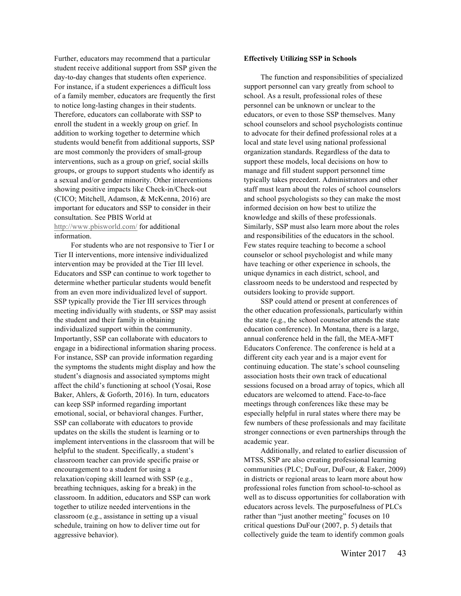Further, educators may recommend that a particular student receive additional support from SSP given the day-to-day changes that students often experience. For instance, if a student experiences a difficult loss of a family member, educators are frequently the first to notice long-lasting changes in their students. Therefore, educators can collaborate with SSP to enroll the student in a weekly group on grief. In addition to working together to determine which students would benefit from additional supports, SSP are most commonly the providers of small-group interventions, such as a group on grief, social skills groups, or groups to support students who identify as a sexual and/or gender minority. Other interventions showing positive impacts like Check-in/Check-out (CICO; Mitchell, Adamson, & McKenna, 2016) are important for educators and SSP to consider in their consultation. See PBIS World at http://www.pbisworld.com/ for additional information.

For students who are not responsive to Tier I or Tier II interventions, more intensive individualized intervention may be provided at the Tier III level. Educators and SSP can continue to work together to determine whether particular students would benefit from an even more individualized level of support. SSP typically provide the Tier III services through meeting individually with students, or SSP may assist the student and their family in obtaining individualized support within the community. Importantly, SSP can collaborate with educators to engage in a bidirectional information sharing process. For instance, SSP can provide information regarding the symptoms the students might display and how the student's diagnosis and associated symptoms might affect the child's functioning at school (Yosai, Rose Baker, Ahlers, & Goforth, 2016). In turn, educators can keep SSP informed regarding important emotional, social, or behavioral changes. Further, SSP can collaborate with educators to provide updates on the skills the student is learning or to implement interventions in the classroom that will be helpful to the student. Specifically, a student's classroom teacher can provide specific praise or encouragement to a student for using a relaxation/coping skill learned with SSP (e.g., breathing techniques, asking for a break) in the classroom. In addition, educators and SSP can work together to utilize needed interventions in the classroom (e.g., assistance in setting up a visual schedule, training on how to deliver time out for aggressive behavior).

#### **Effectively Utilizing SSP in Schools**

The function and responsibilities of specialized support personnel can vary greatly from school to school. As a result, professional roles of these personnel can be unknown or unclear to the educators, or even to those SSP themselves. Many school counselors and school psychologists continue to advocate for their defined professional roles at a local and state level using national professional organization standards. Regardless of the data to support these models, local decisions on how to manage and fill student support personnel time typically takes precedent. Administrators and other staff must learn about the roles of school counselors and school psychologists so they can make the most informed decision on how best to utilize the knowledge and skills of these professionals. Similarly, SSP must also learn more about the roles and responsibilities of the educators in the school. Few states require teaching to become a school counselor or school psychologist and while many have teaching or other experience in schools, the unique dynamics in each district, school, and classroom needs to be understood and respected by outsiders looking to provide support.

SSP could attend or present at conferences of the other education professionals, particularly within the state (e.g., the school counselor attends the state education conference). In Montana, there is a large, annual conference held in the fall, the MEA-MFT Educators Conference. The conference is held at a different city each year and is a major event for continuing education. The state's school counseling association hosts their own track of educational sessions focused on a broad array of topics, which all educators are welcomed to attend. Face-to-face meetings through conferences like these may be especially helpful in rural states where there may be few numbers of these professionals and may facilitate stronger connections or even partnerships through the academic year.

Additionally, and related to earlier discussion of MTSS, SSP are also creating professional learning communities (PLC; DuFour, DuFour, & Eaker, 2009) in districts or regional areas to learn more about how professional roles function from school-to-school as well as to discuss opportunities for collaboration with educators across levels. The purposefulness of PLCs rather than "just another meeting" focuses on 10 critical questions DuFour (2007, p. 5) details that collectively guide the team to identify common goals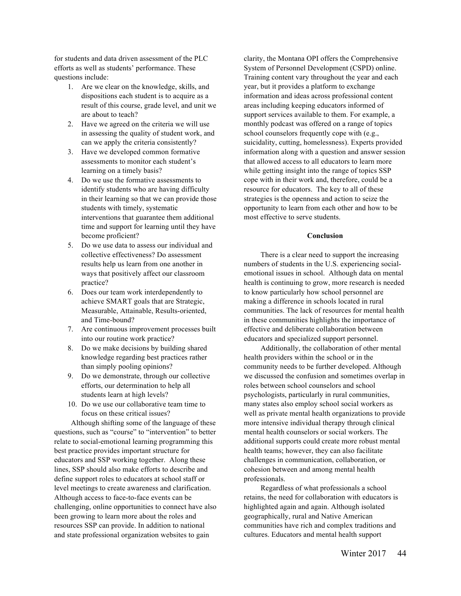for students and data driven assessment of the PLC efforts as well as students' performance. These questions include:

- 1. Are we clear on the knowledge, skills, and dispositions each student is to acquire as a result of this course, grade level, and unit we are about to teach?
- 2. Have we agreed on the criteria we will use in assessing the quality of student work, and can we apply the criteria consistently?
- 3. Have we developed common formative assessments to monitor each student's learning on a timely basis?
- 4. Do we use the formative assessments to identify students who are having difficulty in their learning so that we can provide those students with timely, systematic interventions that guarantee them additional time and support for learning until they have become proficient?
- 5. Do we use data to assess our individual and collective effectiveness? Do assessment results help us learn from one another in ways that positively affect our classroom practice?
- 6. Does our team work interdependently to achieve SMART goals that are Strategic, Measurable, Attainable, Results-oriented, and Time-bound?
- 7. Are continuous improvement processes built into our routine work practice?
- 8. Do we make decisions by building shared knowledge regarding best practices rather than simply pooling opinions?
- 9. Do we demonstrate, through our collective efforts, our determination to help all students learn at high levels?
- 10. Do we use our collaborative team time to focus on these critical issues?

Although shifting some of the language of these questions, such as "course" to "intervention" to better relate to social-emotional learning programming this best practice provides important structure for educators and SSP working together. Along these lines, SSP should also make efforts to describe and define support roles to educators at school staff or level meetings to create awareness and clarification. Although access to face-to-face events can be challenging, online opportunities to connect have also been growing to learn more about the roles and resources SSP can provide. In addition to national and state professional organization websites to gain

clarity, the Montana OPI offers the Comprehensive System of Personnel Development (CSPD) online. Training content vary throughout the year and each year, but it provides a platform to exchange information and ideas across professional content areas including keeping educators informed of support services available to them. For example, a monthly podcast was offered on a range of topics school counselors frequently cope with (e.g., suicidality, cutting, homelessness). Experts provided information along with a question and answer session that allowed access to all educators to learn more while getting insight into the range of topics SSP cope with in their work and, therefore, could be a resource for educators. The key to all of these strategies is the openness and action to seize the opportunity to learn from each other and how to be most effective to serve students.

## **Conclusion**

There is a clear need to support the increasing numbers of students in the U.S. experiencing socialemotional issues in school. Although data on mental health is continuing to grow, more research is needed to know particularly how school personnel are making a difference in schools located in rural communities. The lack of resources for mental health in these communities highlights the importance of effective and deliberate collaboration between educators and specialized support personnel.

Additionally, the collaboration of other mental health providers within the school or in the community needs to be further developed. Although we discussed the confusion and sometimes overlap in roles between school counselors and school psychologists, particularly in rural communities, many states also employ school social workers as well as private mental health organizations to provide more intensive individual therapy through clinical mental health counselors or social workers. The additional supports could create more robust mental health teams; however, they can also facilitate challenges in communication, collaboration, or cohesion between and among mental health professionals.

Regardless of what professionals a school retains, the need for collaboration with educators is highlighted again and again. Although isolated geographically, rural and Native American communities have rich and complex traditions and cultures. Educators and mental health support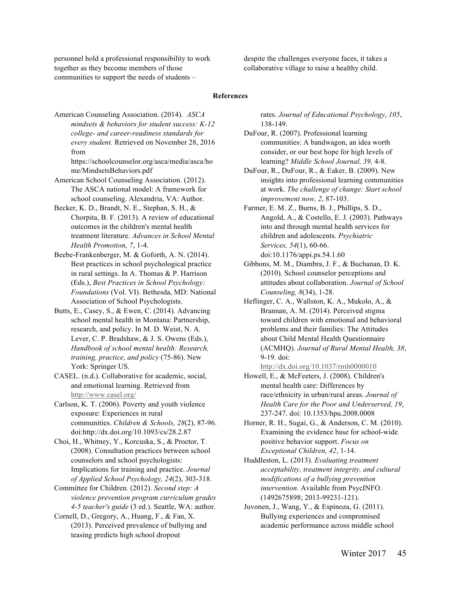personnel hold a professional responsibility to work together as they become members of those communities to support the needs of students –

despite the challenges everyone faces, it takes a collaborative village to raise a healthy child.

## **References**

American Counseling Association. (2014). *ASCA mindsets & behaviors for student success: K-12 college- and career-readiness standards for every student.* Retrieved on November 28, 2016 from

https://schoolcounselor.org/asca/media/asca/ho me/MindsetsBehaviors.pdf

American School Counseling Association. (2012). The ASCA national model: A framework for school counseling. Alexandria, VA: Author.

- Becker, K. D., Brandt, N. E., Stephan, S. H., & Chorpita, B. F. (2013). A review of educational outcomes in the children's mental health treatment literature. *Advances in School Mental Health Promotion, 7*, 1-4.
- Beebe-Frankenberger, M. & Goforth, A. N. (2014). Best practices in school psychological practice in rural settings. In A. Thomas & P. Harrison (Eds.), *Best Practices in School Psychology: Foundations* (Vol. VI). Bethesda, MD: National Association of School Psychologists.
- Butts, E., Casey, S., & Ewen, C. (2014). Advancing school mental health in Montana: Partnership, research, and policy. In M. D. Weist, N. A. Lever, C. P. Bradshaw, & J. S. Owens (Eds.), *Handbook of school mental health: Research, training, practice, and policy* (75-86). New York: Springer US.
- CASEL. (n.d.). Collaborative for academic, social, and emotional learning. Retrieved from http://www.casel.org/

Carlson, K. T. (2006). Poverty and youth violence exposure: Experiences in rural communities. *Children & Schools, 28*(2), 87-96. doi:http://dx.doi.org/10.1093/cs/28.2.87

Choi, H., Whitney, Y., Korcuska, S., & Proctor, T. (2008). Consultation practices between school counselors and school psychologists: Implications for training and practice. *Journal of Applied School Psychology, 24*(2), 303-318.

Committee for Children. (2012). *Second step: A violence prevention program curriculum grades 4-5 teacher's guide* (3 ed.). Seattle, WA: author.

Cornell, D., Gregory, A., Huang, F., & Fan, X. (2013). Perceived prevalence of bullying and teasing predicts high school dropout

rates. *Journal of Educational Psychology*, *105*, 138-149.

DuFour, R. (2007). Professional learning communities: A bandwagon, an idea worth consider, or our best hope for high levels of learning? *Middle School Journal, 39,* 4-8.

DuFour, R., DuFour, R., & Eaker, B. (2009). New insights into professional learning communities at work. *The challenge of change: Start school improvement now, 2*, 87-103.

- Farmer, E. M. Z., Burns, B. J., Phillips, S. D., Angold, A., & Costello, E. J. (2003). Pathways into and through mental health services for children and adolescents. *Psychiatric Services, 54*(1), 60-66. doi:10.1176/appi.ps.54.1.60
- Gibbons, M. M., Diambra, J. F., & Buchanan, D. K. (2010). School counselor perceptions and attitudes about collaboration. *Journal of School Counseling, 8*(34), 1-28.
- Heflinger, C. A., Wallston, K. A., Mukolo, A., & Brannan, A. M. (2014). Perceived stigma toward children with emotional and behavioral problems and their families: The Attitudes about Child Mental Health Questionnaire (ACMHQ). *Journal of Rural Mental Health, 38*, 9-19. doi:

http://dx.doi.org/10.1037/rmh0000010

Howell, E., & McFeeters, J. (2008). Children's mental health care: Differences by race/ethnicity in urban/rural areas. *Journal of Health Care for the Poor and Underserved, 19*, 237-247. doi: 10.1353/hpu.2008.0008

Horner, R. H., Sugai, G., & Anderson, C. M. (2010). Examining the evidence base for school-wide positive behavior support. *Focus on Exceptional Children, 42*, 1-14.

Huddleston, L. (2013). *Evaluating treatment acceptability, treatment integrity, and cultural modifications of a bullying prevention intervention.* Available from PsycINFO. (1492675898; 2013-99231-121).

Juvonen, J., Wang, Y., & Espinoza, G. (2011). Bullying experiences and compromised academic performance across middle school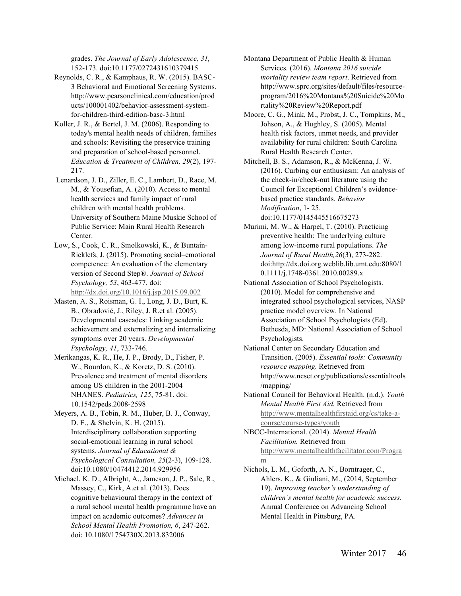grades. *The Journal of Early Adolescence, 31,*  152-173. doi:10.1177/0272431610379415

- Reynolds, C. R., & Kamphaus, R. W. (2015). BASC-3 Behavioral and Emotional Screening Systems. http://www.pearsonclinical.com/education/prod ucts/100001402/behavior-assessment-systemfor-children-third-edition-basc-3.html
- Koller, J. R., & Bertel, J. M. (2006). Responding to today's mental health needs of children, families and schools: Revisiting the preservice training and preparation of school-based personnel. *Education & Treatment of Children, 29*(2), 197- 217.
- Lenardson, J. D., Ziller, E. C., Lambert, D., Race, M. M., & Yousefian, A. (2010). Access to mental health services and family impact of rural children with mental health problems. University of Southern Maine Muskie School of Public Service: Main Rural Health Research Center.
- Low, S., Cook, C. R., Smolkowski, K., & Buntain-Ricklefs, J. (2015). Promoting social–emotional competence: An evaluation of the elementary version of Second Step®. *Journal of School Psychology, 53*, 463-477. doi: http://dx.doi.org/10.1016/j.jsp.2015.09.002
- Masten, A. S., Roisman, G. I., Long, J. D., Burt, K. B., Obradović, J., Riley, J. R.et al. (2005). Developmental cascades: Linking academic achievement and externalizing and internalizing symptoms over 20 years. *Developmental Psychology, 41*, 733-746.
- Merikangas, K. R., He, J. P., Brody, D., Fisher, P. W., Bourdon, K., & Koretz, D. S. (2010). Prevalence and treatment of mental disorders among US children in the 2001-2004 NHANES. *Pediatrics, 125*, 75-81. doi: 10.1542/peds.2008-2598
- Meyers, A. B., Tobin, R. M., Huber, B. J., Conway, D. E., & Shelvin, K. H. (2015). Interdisciplinary collaboration supporting social-emotional learning in rural school systems. *Journal of Educational & Psychological Consultation, 25*(2-3), 109-128. doi:10.1080/10474412.2014.929956
- Michael, K. D., Albright, A., Jameson, J. P., Sale, R., Massey, C., Kirk, A.et al. (2013). Does cognitive behavioural therapy in the context of a rural school mental health programme have an impact on academic outcomes? *Advances in School Mental Health Promotion, 6*, 247-262. doi: 10.1080/1754730X.2013.832006
- Montana Department of Public Health & Human Services. (2016). *Montana 2016 suicide mortality review team report*. Retrieved from http://www.sprc.org/sites/default/files/resourceprogram/2016%20Montana%20Suicide%20Mo rtality%20Review%20Report.pdf
- Moore, C. G., Mink, M., Probst, J. C., Tompkins, M., Johson, A., & Hughley, S. (2005). Mental health risk factors, unmet needs, and provider availability for rural children: South Carolina Rural Health Research Center.
- Mitchell, B. S., Adamson, R., & McKenna, J. W. (2016). Curbing our enthusiasm: An analysis of the check-in/check-out literature using the Council for Exceptional Children's evidencebased practice standards. *Behavior Modification*, 1- 25. doi:10.1177/0145445516675273
- Murimi, M. W., & Harpel, T. (2010). Practicing preventive health: The underlying culture among low-income rural populations. *The Journal of Rural Health,26*(3), 273-282. doi:http://dx.doi.org.weblib.lib.umt.edu:8080/1 0.1111/j.1748-0361.2010.00289.x
- National Association of School Psychologists. (2010). Model for comprehensive and integrated school psychological services, NASP practice model overview. In National Association of School Psychologists (Ed). Bethesda, MD: National Association of School Psychologists.
- National Center on Secondary Education and Transition. (2005). *Essential tools: Community resource mapping.* Retrieved from http://www.ncset.org/publications/essentialtools /mapping/
- National Council for Behavioral Health. (n.d.). *Youth Mental Health First Aid.* Retrieved from http://www.mentalhealthfirstaid.org/cs/take-acourse/course-types/youth
- NBCC-International. (2014). *Mental Health Facilitation.* Retrieved from http://www.mentalhealthfacilitator.com/Progra m
- Nichols, L. M., Goforth, A. N., Borntrager, C., Ahlers, K., & Giuliani, M., (2014, September 19). *Improving teacher's understanding of children's mental health for academic success.*  Annual Conference on Advancing School Mental Health in Pittsburg, PA.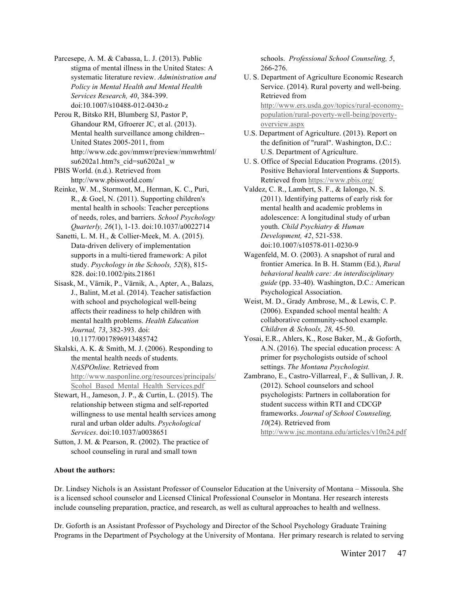Parcesepe, A. M. & Cabassa, L. J. (2013). Public stigma of mental illness in the United States: A systematic literature review. *Administration and Policy in Mental Health and Mental Health Services Research, 40*, 384-399. doi:10.1007/s10488-012-0430-z

Perou R, Bitsko RH, Blumberg SJ, Pastor P, Ghandour RM, Gfroerer JC, et al. (2013). Mental health surveillance among children-- United States 2005-2011, from http://www.cdc.gov/mmwr/preview/mmwrhtml/ su6202a1.htm?s\_cid=su6202a1\_w

PBIS World. (n.d.). Retrieved from http://www.pbisworld.com/

Reinke, W. M., Stormont, M., Herman, K. C., Puri, R., & Goel, N. (2011). Supporting children's mental health in schools: Teacher perceptions of needs, roles, and barriers. *School Psychology Quarterly, 26*(1), 1-13. doi:10.1037/a0022714

Sanetti, L. M. H., & Collier-Meek, M. A. (2015). Data-driven delivery of implementation supports in a multi-tiered framework: A pilot study. *Psychology in the Schools, 52*(8), 815- 828. doi:10.1002/pits.21861

Sisask, M., Värnik, P., Värnik, A., Apter, A., Balazs, J., Balint, M.et al. (2014). Teacher satisfaction with school and psychological well-being affects their readiness to help children with mental health problems. *Health Education Journal, 73*, 382-393. doi: 10.1177/0017896913485742

Skalski, A. K. & Smith, M. J. (2006). Responding to the mental health needs of students. *NASPOnline.* Retrieved from http://www.nasponline.org/resources/principals/ Scohol\_Based\_Mental\_Health\_Services.pdf

Stewart, H., Jameson, J. P., & Curtin, L. (2015). The relationship between stigma and self-reported willingness to use mental health services among rural and urban older adults. *Psychological Services*. doi:10.1037/a0038651

Sutton, J. M. & Pearson, R. (2002). The practice of school counseling in rural and small town

schools. *Professional School Counseling, 5*, 266-276.

- U. S. Department of Agriculture Economic Research Service. (2014). Rural poverty and well-being. Retrieved from http://www.ers.usda.gov/topics/rural-economypopulation/rural-poverty-well-being/povertyoverview.aspx
- U.S. Department of Agriculture. (2013). Report on the definition of "rural". Washington, D.C.: U.S. Department of Agriculture.
- U. S. Office of Special Education Programs. (2015). Positive Behavioral Interventions & Supports. Retrieved from https://www.pbis.org/
- Valdez, C. R., Lambert, S. F., & Ialongo, N. S. (2011). Identifying patterns of early risk for mental health and academic problems in adolescence: A longitudinal study of urban youth. *Child Psychiatry & Human Development, 42*, 521-538. doi:10.1007/s10578-011-0230-9
- Wagenfeld, M. O. (2003). A snapshot of rural and frontier America. In B. H. Stamm (Ed.), *Rural behavioral health care: An interdisciplinary guide* (pp. 33-40). Washington, D.C.: American Psychological Association.
- Weist, M. D., Grady Ambrose, M., & Lewis, C. P. (2006). Expanded school mental health: A collaborative community-school example. *Children & Schools, 28,* 45-50.
- Yosai, E.R., Ahlers, K., Rose Baker, M., & Goforth, A.N. (2016). The special education process: A primer for psychologists outside of school settings. *The Montana Psychologist.*
- Zambrano, E., Castro-Villarreal, F., & Sullivan, J. R. (2012). School counselors and school psychologists: Partners in collaboration for student success within RTI and CDCGP frameworks. *Journal of School Counseling, 10*(24). Retrieved from http://www.jsc.montana.edu/articles/v10n24.pdf

## **About the authors:**

Dr. Lindsey Nichols is an Assistant Professor of Counselor Education at the University of Montana – Missoula. She is a licensed school counselor and Licensed Clinical Professional Counselor in Montana. Her research interests include counseling preparation, practice, and research, as well as cultural approaches to health and wellness.

Dr. Goforth is an Assistant Professor of Psychology and Director of the School Psychology Graduate Training Programs in the Department of Psychology at the University of Montana. Her primary research is related to serving